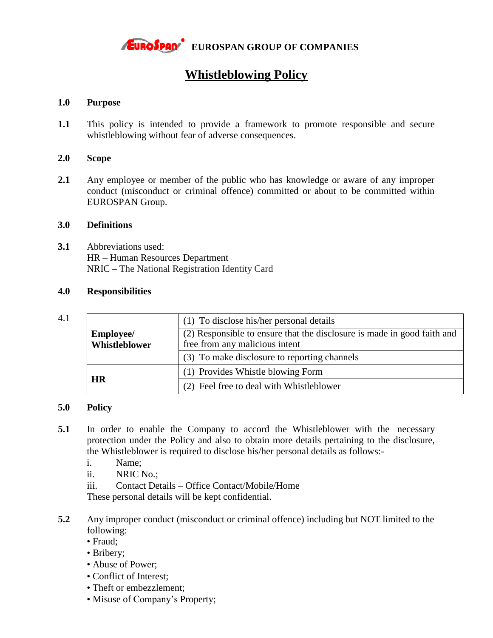

# **Whistleblowing Policy**

## **1.0 Purpose**

**1.1** This policy is intended to provide a framework to promote responsible and secure whistleblowing without fear of adverse consequences.

#### **2.0 Scope**

**2.1** Any employee or member of the public who has knowledge or aware of any improper conduct (misconduct or criminal offence) committed or about to be committed within EUROSPAN Group.

## **3.0 Definitions**

**3.1** Abbreviations used: HR – Human Resources Department NRIC – The National Registration Identity Card

### **4.0 Responsibilities**

#### 4.1

|                  | (1) To disclose his/her personal details                                |
|------------------|-------------------------------------------------------------------------|
| <b>Employee/</b> | (2) Responsible to ensure that the disclosure is made in good faith and |
| Whistleblower    | free from any malicious intent                                          |
|                  | (3) To make disclosure to reporting channels                            |
| <b>HR</b>        | (1) Provides Whistle blowing Form                                       |
|                  | (2) Feel free to deal with Whistleblower                                |

## **5.0 Policy**

- **5.1** In order to enable the Company to accord the Whistleblower with the necessary protection under the Policy and also to obtain more details pertaining to the disclosure, the Whistleblower is required to disclose his/her personal details as follows:
	- i. Name;
	- ii. NRIC No.;
	- iii. Contact Details Office Contact/Mobile/Home

These personal details will be kept confidential.

- **5.2** Any improper conduct (misconduct or criminal offence) including but NOT limited to the following:
	- Fraud;
	- Bribery;
	- Abuse of Power;
	- Conflict of Interest;
	- Theft or embezzlement;
	- Misuse of Company's Property;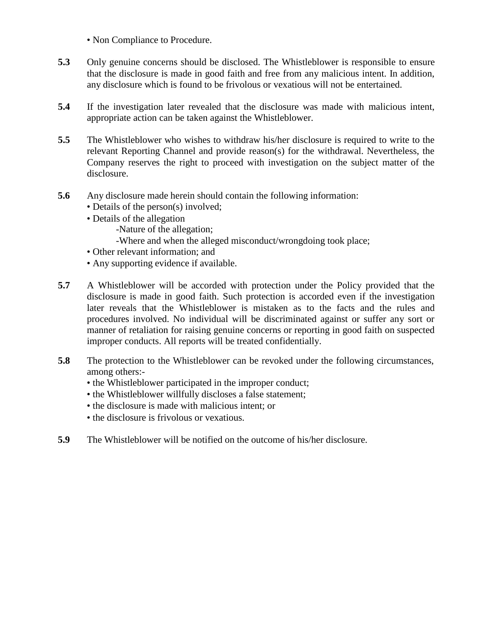- Non Compliance to Procedure.
- **5.3** Only genuine concerns should be disclosed. The Whistleblower is responsible to ensure that the disclosure is made in good faith and free from any malicious intent. In addition, any disclosure which is found to be frivolous or vexatious will not be entertained.
- **5.4** If the investigation later revealed that the disclosure was made with malicious intent, appropriate action can be taken against the Whistleblower.
- **5.5** The Whistleblower who wishes to withdraw his/her disclosure is required to write to the relevant Reporting Channel and provide reason(s) for the withdrawal. Nevertheless, the Company reserves the right to proceed with investigation on the subject matter of the disclosure.
- **5.6** Any disclosure made herein should contain the following information:
	- Details of the person(s) involved;
	- Details of the allegation
		- -Nature of the allegation;
		- -Where and when the alleged misconduct/wrongdoing took place;
	- Other relevant information; and
	- Any supporting evidence if available.
- **5.7** A Whistleblower will be accorded with protection under the Policy provided that the disclosure is made in good faith. Such protection is accorded even if the investigation later reveals that the Whistleblower is mistaken as to the facts and the rules and procedures involved. No individual will be discriminated against or suffer any sort or manner of retaliation for raising genuine concerns or reporting in good faith on suspected improper conducts. All reports will be treated confidentially.
- **5.8** The protection to the Whistleblower can be revoked under the following circumstances, among others:-
	- the Whistleblower participated in the improper conduct;
	- the Whistleblower willfully discloses a false statement;
	- the disclosure is made with malicious intent; or
	- the disclosure is frivolous or vexatious.
- **5.9** The Whistleblower will be notified on the outcome of his/her disclosure.